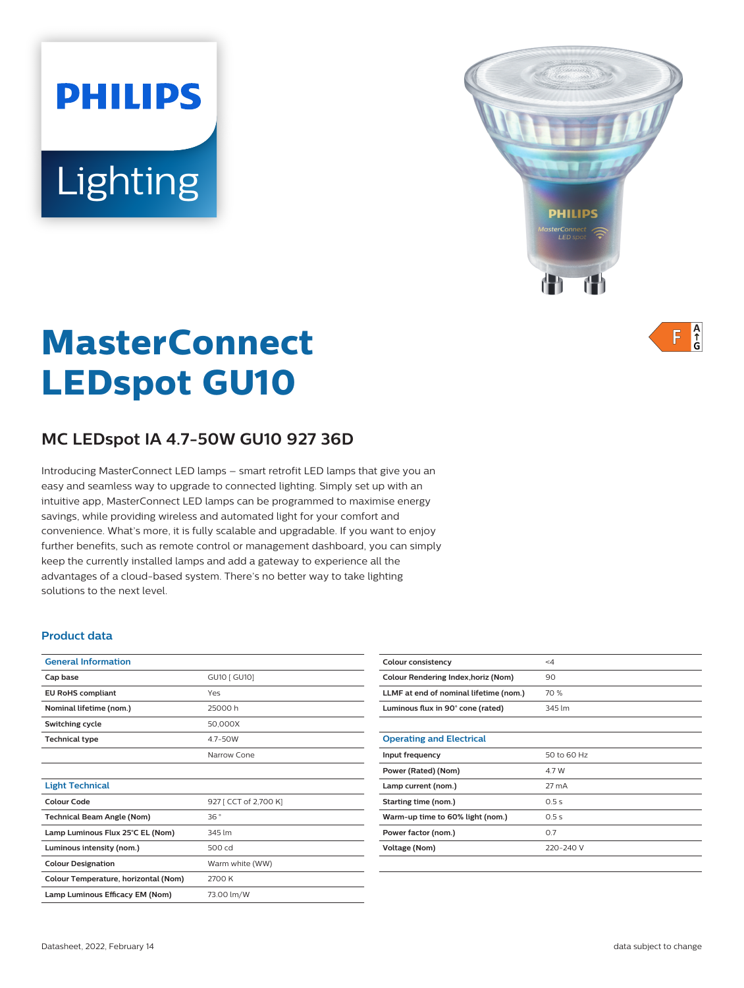# **PHILIPS** Lighting



 $A$ <sub> $\uparrow$ </sub> F

# **MasterConnect LEDspot GU10**

# **MC LEDspot IA 4.7-50W GU10 927 36D**

Introducing MasterConnect LED lamps – smart retrofit LED lamps that give you an easy and seamless way to upgrade to connected lighting. Simply set up with an intuitive app, MasterConnect LED lamps can be programmed to maximise energy savings, while providing wireless and automated light for your comfort and convenience. What's more, it is fully scalable and upgradable. If you want to enjoy further benefits, such as remote control or management dashboard, you can simply keep the currently installed lamps and add a gateway to experience all the advantages of a cloud-based system. There's no better way to take lighting solutions to the next level.

#### **Product data**

| <b>General Information</b>           |                       |  |
|--------------------------------------|-----------------------|--|
| Cap base                             | GU10 [ GU10]          |  |
| <b>EU RoHS compliant</b>             | Yes                   |  |
| Nominal lifetime (nom.)              | 25000 h               |  |
| Switching cycle                      | 50,000X               |  |
| <b>Technical type</b>                | 4.7-50W               |  |
|                                      | Narrow Cone           |  |
|                                      |                       |  |
| <b>Light Technical</b>               |                       |  |
| Colour Code                          | 927 [ CCT of 2,700 K] |  |
| <b>Technical Beam Angle (Nom)</b>    | 36°                   |  |
| Lamp Luminous Flux 25°C EL (Nom)     | 345 lm                |  |
| Luminous intensity (nom.)            | 500 cd                |  |
| <b>Colour Designation</b>            | Warm white (WW)       |  |
| Colour Temperature, horizontal (Nom) | 2700 K                |  |
| Lamp Luminous Efficacy EM (Nom)      | 73.00 lm/W            |  |
|                                      |                       |  |

| Colour consistency                     | $\leq 4$    |
|----------------------------------------|-------------|
| Colour Rendering Index, horiz (Nom)    | 90          |
| LLMF at end of nominal lifetime (nom.) | 70 %        |
| Luminous flux in 90° cone (rated)      | 345 lm      |
|                                        |             |
| <b>Operating and Electrical</b>        |             |
| Input frequency                        | 50 to 60 Hz |
| Power (Rated) (Nom)                    | 4.7 W       |
| Lamp current (nom.)                    | 27 mA       |
| Starting time (nom.)                   | 0.5s        |
| Warm-up time to 60% light (nom.)       | 0.5s        |
| Power factor (nom.)                    | 0.7         |
| Voltage (Nom)                          | 220-240 V   |
|                                        |             |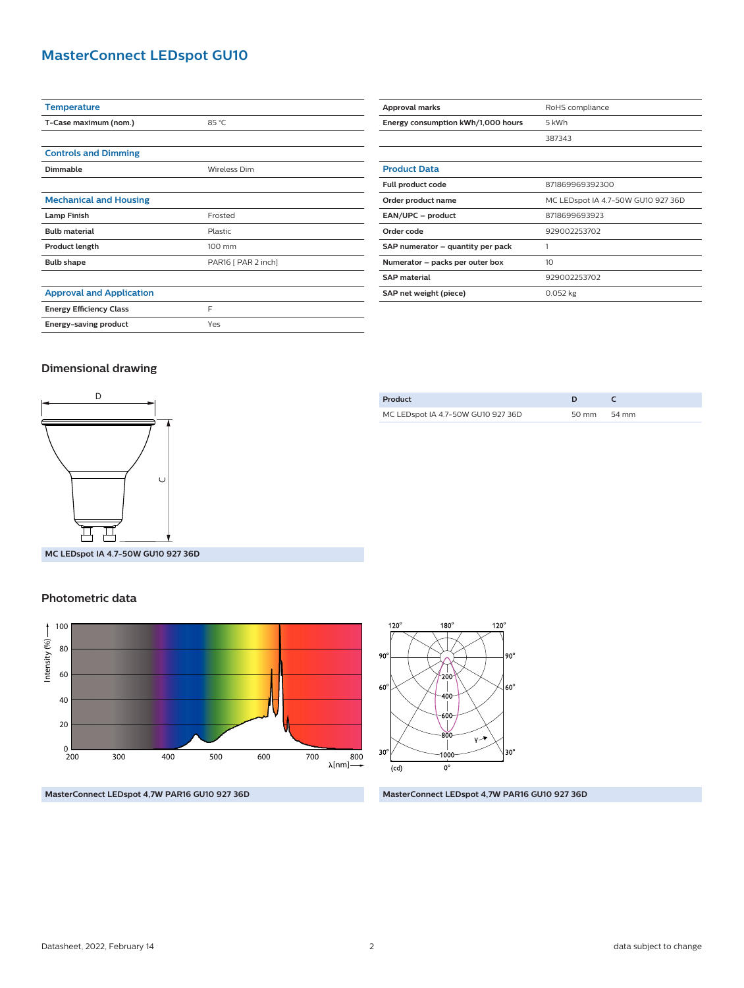## **MasterConnect LEDspot GU10**

| <b>Temperature</b>              |                     |  |
|---------------------------------|---------------------|--|
| T-Case maximum (nom.)           | 85 °C               |  |
|                                 |                     |  |
| <b>Controls and Dimming</b>     |                     |  |
| <b>Dimmable</b>                 | Wireless Dim        |  |
|                                 |                     |  |
| <b>Mechanical and Housing</b>   |                     |  |
| <b>Lamp Finish</b>              | Frosted             |  |
| <b>Bulb material</b>            | Plastic             |  |
| Product length                  | 100 mm              |  |
| <b>Bulb shape</b>               | PAR16 [ PAR 2 inch] |  |
|                                 |                     |  |
| <b>Approval and Application</b> |                     |  |
| <b>Energy Efficiency Class</b>  | F                   |  |
| Energy-saving product           | Yes                 |  |

| Approval marks                     | RoHS compliance                    |  |  |
|------------------------------------|------------------------------------|--|--|
| Energy consumption kWh/1,000 hours | 5 kWh                              |  |  |
|                                    | 387343                             |  |  |
|                                    |                                    |  |  |
| <b>Product Data</b>                |                                    |  |  |
| Full product code                  | 871869969392300                    |  |  |
| Order product name                 | MC LEDspot IA 4.7-50W GU10 927 36D |  |  |
| EAN/UPC - product                  | 8718699693923                      |  |  |
| Order code                         | 929002253702                       |  |  |
| SAP numerator - quantity per pack  | 1                                  |  |  |
| Numerator - packs per outer box    | 10                                 |  |  |
| <b>SAP</b> material                | 929002253702                       |  |  |
| SAP net weight (piece)             | $0.052$ kg                         |  |  |

#### **Dimensional drawing**



| Product |                                    |             |  |
|---------|------------------------------------|-------------|--|
|         | MC LEDspot IA 4.7-50W GU10 927 36D | 50 mm 54 mm |  |
|         |                                    |             |  |

**MC LEDspot IA 4.7-50W GU10 927 36D**

#### **Photometric data**





**MasterConnect LEDspot 4,7W PAR16 GU10 927 36D MasterConnect LEDspot 4,7W PAR16 GU10 927 36D**